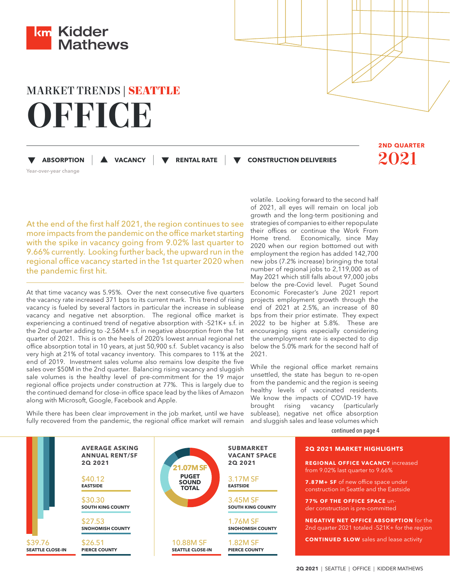

# MARKET TRENDS | **SEATTLE OFFICE**

 **ABSORPTION |** Year-over-year change

 **VACANCY | RENTAL RATE |** **CONSTRUCTION DELIVERIES** 2021

**2ND QUARTER**

At the end of the first half 2021, the region continues to see more impacts from the pandemic on the office market starting with the spike in vacancy going from 9.02% last quarter to 9.66% currently. Looking further back, the upward run in the regional office vacancy started in the 1st quarter 2020 when the pandemic first hit.

At that time vacancy was 5.95%. Over the next consecutive five quarters the vacancy rate increased 371 bps to its current mark. This trend of rising vacancy is fueled by several factors in particular the increase in sublease vacancy and negative net absorption. The regional office market is experiencing a continued trend of negative absorption with -521K+ s.f. in the 2nd quarter adding to -2.56M+ s.f. in negative absorption from the 1st quarter of 2021. This is on the heels of 2020's lowest annual regional net office absorption total in 10 years, at just 50,900 s.f. Sublet vacancy is also very high at 21% of total vacancy inventory. This compares to 11% at the end of 2019. Investment sales volume also remains low despite the five sales over \$50M in the 2nd quarter. Balancing rising vacancy and sluggish sale volumes is the healthy level of pre-commitment for the 19 major regional office projects under construction at 77%. This is largely due to the continued demand for close-in office space lead by the likes of Amazon along with Microsoft, Google, Facebook and Apple.

2021.

While there has been clear improvement in the job market, until we have fully recovered from the pandemic, the regional office market will remain

volatile. Looking forward to the second half of 2021, all eyes will remain on local job growth and the long-term positioning and strategies of companies to either repopulate their offices or continue the Work From Home trend. Economically, since May 2020 when our region bottomed out with employment the region has added 142,700 new jobs (7.2% increase) bringing the total number of regional jobs to 2,119,000 as of May 2021 which still falls about 97,000 jobs below the pre-Covid level. Puget Sound Economic Forecaster's June 2021 report projects employment growth through the end of 2021 at 2.5%, an increase of 80 bps from their prior estimate. They expect 2022 to be higher at 5.8%. These are encouraging signs especially considering the unemployment rate is expected to dip below the 5.0% mark for the second half of

While the regional office market remains unsettled, the state has begun to re-open from the pandemic and the region is seeing healthy levels of vaccinated residents. We know the impacts of COVID-19 have brought rising vacancy (particularly sublease), negative net office absorption and sluggish sales and lease volumes which

continued on page 4

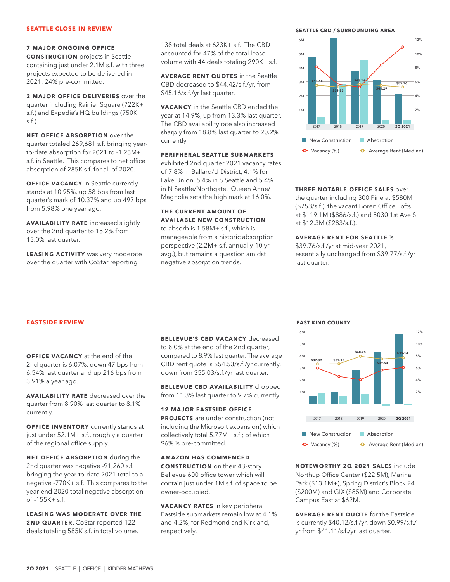# **SEATTLE CLOSE-IN REVIEW**

# **7 MAJOR ONGOING OFFICE**

**CONSTRUCTION** projects in Seattle containing just under 2.1M s.f. with three projects expected to be delivered in 2021; 24% pre-committed.

**2 MAJOR OFFICE DELIVERIES** over the quarter including Rainier Square (722K+ s.f.) and Expedia's HQ buildings (750K s.f.).

**NET OFFICE ABSORPTION** over the quarter totaled 269,681 s.f. bringing yearto-date absorption for 2021 to -1.23M+ s.f. in Seattle. This compares to net office absorption of 285K s.f. for all of 2020.

**OFFICE VACANCY** in Seattle currently stands at 10.95%, up 58 bps from last quarter's mark of 10.37% and up 497 bps from 5.98% one year ago.

**AVAILABILITY RATE** increased slightly over the 2nd quarter to 15.2% from 15.0% last quarter.

**LEASING ACTIVITY** was very moderate over the quarter with CoStar reporting

138 total deals at 623K+ s.f. The CBD accounted for 47% of the total lease volume with 44 deals totaling 290K+ s.f.

**AVERAGE RENT QUOTES** in the Seattle CBD decreased to \$44.42/s.f./yr, from \$45.16/s.f./yr last quarter.

**VACANCY** in the Seattle CBD ended the year at 14.9%, up from 13.3% last quarter. The CBD availability rate also increased sharply from 18.8% last quarter to 20.2% currently.

# **PERIPHERAL SEATTLE SUBMARKETS**

exhibited 2nd quarter 2021 vacancy rates of 7.8% in Ballard/U District, 4.1% for Lake Union, 5.4% in S Seattle and 5.4% in N Seattle/Northgate. Queen Anne/ Magnolia sets the high mark at 16.0%.

# **THE CURRENT AMOUNT OF AVAILABLE NEW CONSTRUCTION**

to absorb is 1.58M+ s.f., which is manageable from a historic absorption perspective (2.2M+ s.f. annually-10 yr avg.), but remains a question amidst negative absorption trends.

**SEATTLE CBD / SURROUNDING AREA**



# **THREE NOTABLE OFFICE SALES** over

the quarter including 300 Pine at \$580M (\$753/s.f.), the vacant Boren Office Lofts at \$119.1M (\$886/s.f.) and 5030 1st Ave S at \$12.3M (\$283/s.f.).

# **AVERAGE RENT FOR SEATTLE** is

\$39.76/s.f./yr at mid-year 2021, essentially unchanged from \$39.77/s.f./yr last quarter.

#### **EASTSIDE REVIEW**

# **OFFICE VACANCY** at the end of the 2nd quarter is 6.07%, down 47 bps from 6.54% last quarter and up 216 bps from 3.91% a year ago.

**AVAILABILITY RATE** decreased over the quarter from 8.90% last quarter to 8.1% currently.

**OFFICE INVENTORY** currently stands at just under 52.1M+ s.f., roughly a quarter of the regional office supply.

**NET OFFICE ABSORPTION** during the 2nd quarter was negative -91,260 s.f. bringing the year-to-date 2021 total to a negative -770K+ s.f. This compares to the year-end 2020 total negative absorption of -155K+ s.f.

**LEASING WAS MODERATE OVER THE 2ND QUARTER**. CoStar reported 122 deals totaling 585K s.f. in total volume.

**BELLEVUE'S CBD VACANCY** decreased to 8.0% at the end of the 2nd quarter, compared to 8.9% last quarter. The average CBD rent quote is \$54.53/s.f./yr currently, down from \$55.03/s.f./yr last quarter.

**BELLEVUE CBD AVAILABILITY** dropped from 11.3% last quarter to 9.7% currently.

**12 MAJOR EASTSIDE OFFICE PROJECTS** are under construction (not including the Microsoft expansion) which collectively total 5.77M+ s.f.; of which 96% is pre-committed.

**AMAZON HAS COMMENCED CONSTRUCTION** on their 43-story Bellevue 600 office tower which will contain just under 1M s.f. of space to be owner-occupied.

**VACANCY RATES** in key peripheral Eastside submarkets remain low at 4.1% and 4.2%, for Redmond and Kirkland, respectively.

#### **EAST KING COUNTY**



**NOTEWORTHY 2Q 2021 SALES** include Northup Office Center (\$22.5M), Marina Park (\$13.1M+), Spring District's Block 24 (\$200M) and GIX (\$85M) and Corporate Campus East at \$62M.

**AVERAGE RENT QUOTE** for the Eastside is currently \$40.12/s.f./yr, down \$0.99/s.f./ yr from \$41.11/s.f./yr last quarter.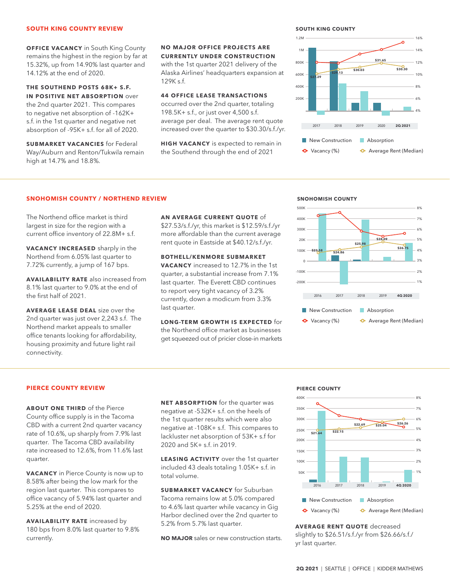#### **SOUTH KING COUNTY REVIEW**

**OFFICE VACANCY** in South King County remains the highest in the region by far at 15.32%, up from 14.90% last quarter and 14.12% at the end of 2020.

**THE SOUTHEND POSTS 68K+ S.F. IN POSITIVE NET ABSORPTION** over the 2nd quarter 2021. This compares to negative net absorption of -162K+ s.f. in the 1st quarter and negative net absorption of -95K+ s.f. for all of 2020.

**SUBMARKET VACANCIES** for Federal Way/Auburn and Renton/Tukwila remain high at 14.7% and 18.8%.

**NO MAJOR OFFICE PROJECTS ARE CURRENTLY UNDER CONSTRUCTION** with the 1st quarter 2021 delivery of the Alaska Airlines' headquarters expansion at 129K s.f.

#### **44 OFFICE LEASE TRANSACTIONS**

occurred over the 2nd quarter, totaling 198.5K+ s.f., or just over 4,500 s.f. average per deal. The average rent quote increased over the quarter to \$30.30/s.f./yr.

**HIGH VACANCY** is expected to remain in the Southend through the end of 2021

#### **SOUTH KING COUNTY**



# **SNOHOMISH COUNTY / NORTHEND REVIEW**

The Northend office market is third largest in size for the region with a current office inventory of 22.8M+ s.f.

**VACANCY INCREASED** sharply in the Northend from 6.05% last quarter to 7.72% currently, a jump of 167 bps.

**AVAILABILITY RATE** also increased from 8.1% last quarter to 9.0% at the end of the first half of 2021.

**AVERAGE LEASE DEAL** size over the 2nd quarter was just over 2,243 s.f. The Northend market appeals to smaller office tenants looking for affordability, housing proximity and future light rail connectivity.

# **AN AVERAGE CURRENT QUOTE** of

\$27.53/s.f./yr, this market is \$12.59/s.f./yr more affordable than the current average rent quote in Eastside at \$40.12/s.f./yr.

**BOTHELL/KENMORE SUBMARKET VACANCY** increased to 12.7% in the 1st

quarter, a substantial increase from 7.1% last quarter. The Everett CBD continues to report very tight vacancy of 3.2% currently, down a modicum from 3.3% last quarter.

**LONG-TERM GROWTH IS EXPECTED** for the Northend office market as businesses get squeezed out of pricier close-in markets

# **SNOHOMISH COUNTY**



# **PIERCE COUNTY REVIEW**

**ABOUT ONE THIRD** of the Pierce County office supply is in the Tacoma CBD with a current 2nd quarter vacancy rate of 10.6%, up sharply from 7.9% last quarter. The Tacoma CBD availability rate increased to 12.6%, from 11.6% last quarter.

**VACANCY** in Pierce County is now up to 8.58% after being the low mark for the region last quarter. This compares to office vacancy of 5.94% last quarter and 5.25% at the end of 2020.

**AVAILABILITY RATE** increased by 180 bps from 8.0% last quarter to 9.8% currently.

**NET ABSORPTION** for the quarter was negative at -532K+ s.f. on the heels of the 1st quarter results which were also negative at -108K+ s.f. This compares to lackluster net absorption of 53K+ s.f for 2020 and 5K+ s.f. in 2019.

**LEASING ACTIVITY** over the 1st quarter included 43 deals totaling 1.05K+ s.f. in total volume.

**SUBMARKET VACANCY** for Suburban Tacoma remains low at 5.0% compared to 4.6% last quarter while vacancy in Gig Harbor declined over the 2nd quarter to 5.2% from 5.7% last quarter.

**NO MAJOR** sales or new construction starts.





**AVERAGE RENT QUOTE** decreased slightly to \$26.51/s.f./yr from \$26.66/s.f./ yr last quarter.